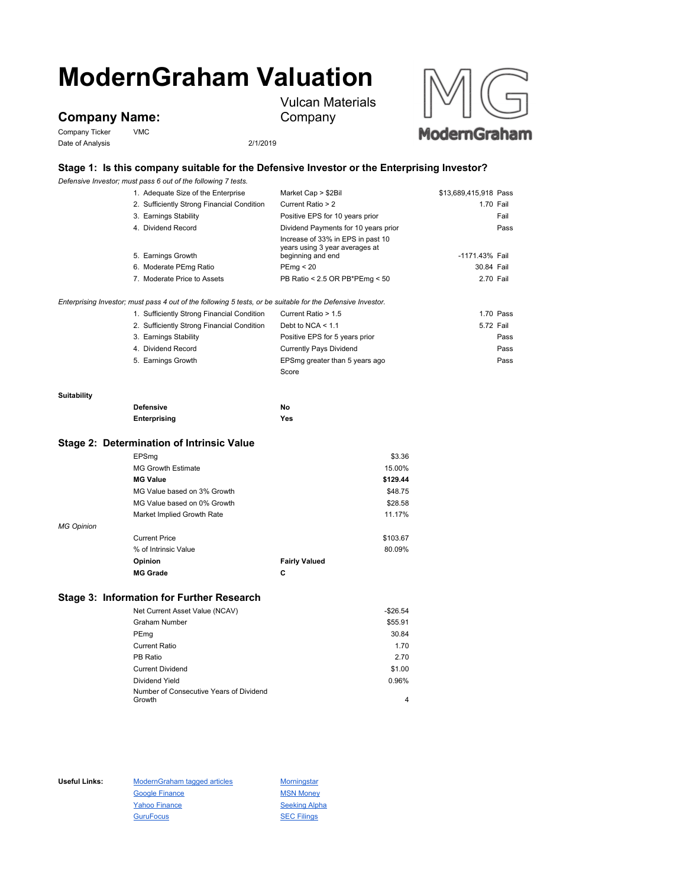# **ModernGraham Valuation**

**Company Name:**

Company Ticker VMC Date of Analysis 2/1/2019



# **Stage 1: Is this company suitable for the Defensive Investor or the Enterprising Investor?**

*Defensive Investor; must pass 6 out of the following 7 tests.*

|             | 1. Adequate Size of the Enterprise                                                                          | Market Cap > \$2Bil                                                                      | \$13,689,415,918 Pass |  |
|-------------|-------------------------------------------------------------------------------------------------------------|------------------------------------------------------------------------------------------|-----------------------|--|
|             | 2. Sufficiently Strong Financial Condition                                                                  | Current Ratio > 2                                                                        | 1.70 Fail             |  |
|             | 3. Earnings Stability                                                                                       | Positive EPS for 10 years prior                                                          | Fail                  |  |
|             | 4. Dividend Record                                                                                          | Dividend Payments for 10 years prior                                                     | Pass                  |  |
|             | 5. Earnings Growth                                                                                          | Increase of 33% in EPS in past 10<br>years using 3 year averages at<br>beginning and end | -1171.43% Fail        |  |
|             | 6. Moderate PEmg Ratio                                                                                      | PEmg < 20                                                                                | 30.84 Fail            |  |
|             | 7. Moderate Price to Assets                                                                                 | PB Ratio < 2.5 OR PB*PEmg < 50                                                           | 2.70 Fail             |  |
|             | Enterprising Investor; must pass 4 out of the following 5 tests, or be suitable for the Defensive Investor. |                                                                                          |                       |  |
|             | 1. Sufficiently Strong Financial Condition                                                                  | Current Ratio > 1.5                                                                      | 1.70 Pass             |  |
|             | 2. Sufficiently Strong Financial Condition                                                                  | Debt to NCA $<$ 1.1                                                                      | 5.72 Fail             |  |
|             | 3. Earnings Stability                                                                                       | Positive EPS for 5 years prior                                                           | Pass                  |  |
|             | 4. Dividend Record                                                                                          | <b>Currently Pays Dividend</b>                                                           | Pass                  |  |
|             | 5. Earnings Growth                                                                                          | EPSmg greater than 5 years ago                                                           | Pass                  |  |
|             |                                                                                                             | Score                                                                                    |                       |  |
| Suitability |                                                                                                             |                                                                                          |                       |  |
|             |                                                                                                             |                                                                                          |                       |  |

Vulcan Materials

Company

**Suitability**

**Defensive No Enterprising Yes**

### **Stage 2: Determination of Intrinsic Value**

|                   | EPSmg                       |                      | \$3.36   |
|-------------------|-----------------------------|----------------------|----------|
|                   | <b>MG Growth Estimate</b>   |                      | 15.00%   |
|                   | <b>MG Value</b>             |                      | \$129.44 |
|                   | MG Value based on 3% Growth |                      | \$48.75  |
|                   | MG Value based on 0% Growth |                      | \$28.58  |
|                   | Market Implied Growth Rate  |                      | 11.17%   |
| <b>MG Opinion</b> |                             |                      |          |
|                   | <b>Current Price</b>        |                      | \$103.67 |
|                   | % of Intrinsic Value        |                      | 80.09%   |
|                   | Opinion                     | <b>Fairly Valued</b> |          |
|                   | <b>MG Grade</b>             | С                    |          |

# **Stage 3: Information for Further Research**

| Net Current Asset Value (NCAV)                    | $-$26.54$ |
|---------------------------------------------------|-----------|
| <b>Graham Number</b>                              | \$55.91   |
| PEmg                                              | 30.84     |
| <b>Current Ratio</b>                              | 1.70      |
| PB Ratio                                          | 2.70      |
| <b>Current Dividend</b>                           | \$1.00    |
| Dividend Yield                                    | 0.96%     |
| Number of Consecutive Years of Dividend<br>Growth | 4         |

Useful Links: ModernGraham tagged articles Morningstar Google Finance MSN Money Yahoo Finance Seeking Alpha GuruFocus **SEC Filings**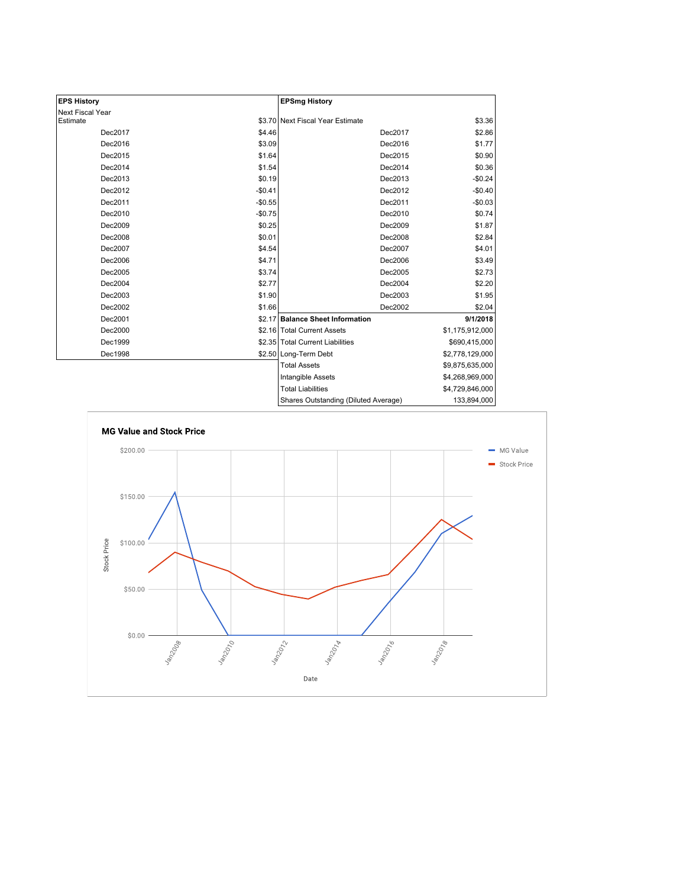| <b>EPS History</b> |          | <b>EPSmg History</b>                 |                 |
|--------------------|----------|--------------------------------------|-----------------|
| Next Fiscal Year   |          |                                      |                 |
| Estimate           |          | \$3.70 Next Fiscal Year Estimate     | \$3.36          |
| Dec2017            | \$4.46   | Dec2017                              | \$2.86          |
| Dec2016            | \$3.09   | Dec2016                              | \$1.77          |
| Dec2015            | \$1.64   | Dec2015                              | \$0.90          |
| Dec2014            | \$1.54   | Dec2014                              | \$0.36          |
| Dec2013            | \$0.19   | Dec2013                              | $-$0.24$        |
| Dec2012            | $-$0.41$ | Dec2012                              | $-$0.40$        |
| Dec2011            | $-$0.55$ | Dec2011                              | $-$0.03$        |
| Dec2010            | $-$0.75$ | Dec2010                              | \$0.74          |
| Dec2009            | \$0.25   | Dec2009                              | \$1.87          |
| Dec2008            | \$0.01   | Dec2008                              | \$2.84          |
| Dec2007            | \$4.54   | Dec2007                              | \$4.01          |
| Dec2006            | \$4.71   | Dec2006                              | \$3.49          |
| Dec2005            | \$3.74   | Dec2005                              | \$2.73          |
| Dec2004            | \$2.77   | Dec2004                              | \$2.20          |
| Dec2003            | \$1.90   | Dec2003                              | \$1.95          |
| Dec2002            | \$1.66   | Dec2002                              | \$2.04          |
| Dec2001            |          | \$2.17 Balance Sheet Information     | 9/1/2018        |
| Dec2000            |          | \$2.16 Total Current Assets          | \$1,175,912,000 |
| Dec1999            |          | \$2.35 Total Current Liabilities     | \$690,415,000   |
| Dec1998            |          | \$2.50 Long-Term Debt                | \$2,778,129,000 |
|                    |          | <b>Total Assets</b>                  | \$9,875,635,000 |
|                    |          | Intangible Assets                    | \$4,268,969,000 |
|                    |          | <b>Total Liabilities</b>             | \$4,729,846,000 |
|                    |          | Shares Outstanding (Diluted Average) | 133,894,000     |